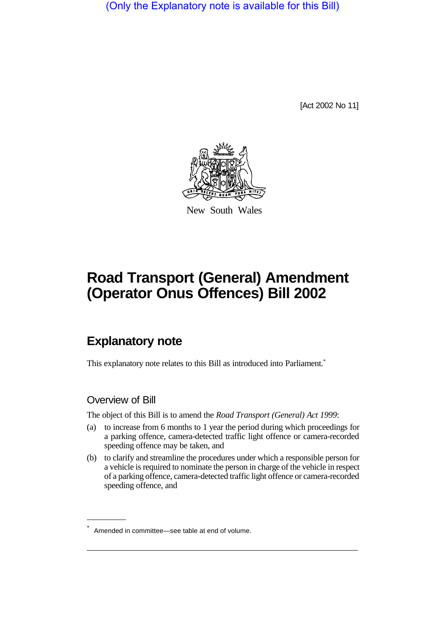(Only the Explanatory note is available for this Bill)

[Act 2002 No 11]



New South Wales

# **Road Transport (General) Amendment (Operator Onus Offences) Bill 2002**

## **Explanatory note**

This explanatory note relates to this Bill as introduced into Parliament.<sup>\*</sup>

#### Overview of Bill

The object of this Bill is to amend the *Road Transport (General) Act 1999*:

- (a) to increase from 6 months to 1 year the period during which proceedings for a parking offence, camera-detected traffic light offence or camera-recorded speeding offence may be taken, and
- (b) to clarify and streamline the procedures under which a responsible person for a vehicle is required to nominate the person in charge of the vehicle in respect of a parking offence, camera-detected traffic light offence or camera-recorded speeding offence, and

Amended in committee—see table at end of volume.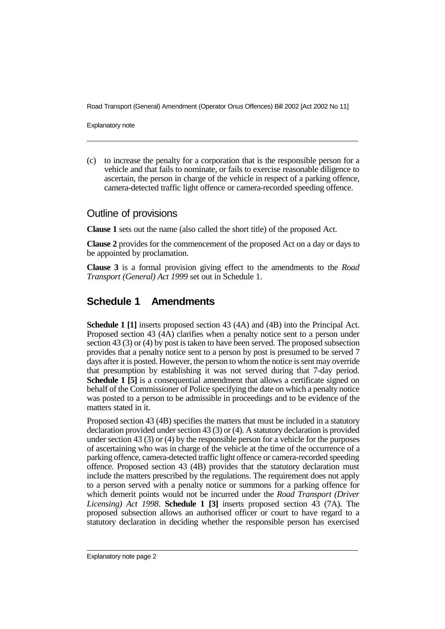Road Transport (General) Amendment (Operator Onus Offences) Bill 2002 [Act 2002 No 11]

Explanatory note

(c) to increase the penalty for a corporation that is the responsible person for a vehicle and that fails to nominate, or fails to exercise reasonable diligence to ascertain, the person in charge of the vehicle in respect of a parking offence, camera-detected traffic light offence or camera-recorded speeding offence.

#### Outline of provisions

**Clause 1** sets out the name (also called the short title) of the proposed Act.

**Clause 2** provides for the commencement of the proposed Act on a day or days to be appointed by proclamation.

**Clause 3** is a formal provision giving effect to the amendments to the *Road Transport (General) Act 1999* set out in Schedule 1.

### **Schedule 1 Amendments**

**Schedule 1 [1]** inserts proposed section 43 (4A) and (4B) into the Principal Act. Proposed section 43 (4A) clarifies when a penalty notice sent to a person under section 43 (3) or (4) by post is taken to have been served. The proposed subsection provides that a penalty notice sent to a person by post is presumed to be served 7 days after it is posted. However, the person to whom the notice is sent may override that presumption by establishing it was not served during that 7-day period. **Schedule 1 [5]** is a consequential amendment that allows a certificate signed on behalf of the Commissioner of Police specifying the date on which a penalty notice was posted to a person to be admissible in proceedings and to be evidence of the matters stated in it.

Proposed section 43 (4B) specifies the matters that must be included in a statutory declaration provided under section 43 (3) or (4). A statutory declaration is provided under section 43 (3) or (4) by the responsible person for a vehicle for the purposes of ascertaining who was in charge of the vehicle at the time of the occurrence of a parking offence, camera-detected traffic light offence or camera-recorded speeding offence. Proposed section 43 (4B) provides that the statutory declaration must include the matters prescribed by the regulations. The requirement does not apply to a person served with a penalty notice or summons for a parking offence for which demerit points would not be incurred under the *Road Transport (Driver Licensing) Act 1998*. **Schedule 1 [3]** inserts proposed section 43 (7A). The proposed subsection allows an authorised officer or court to have regard to a statutory declaration in deciding whether the responsible person has exercised